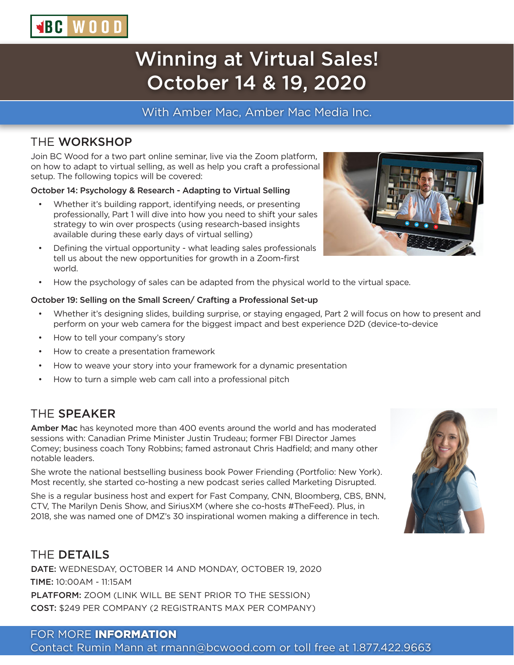# Winning at Virtual Sales! October 14 & 19, 2020

#### With Amber Mac, Amber Mac Media Inc.

#### THE WORKSHOP

**SBC WOOD** 

Join BC Wood for a two part online seminar, live via the Zoom platform, on how to adapt to virtual selling, as well as help you craft a professional setup. The following topics will be covered:

#### October 14: Psychology & Research - Adapting to Virtual Selling

- Whether it's building rapport, identifying needs, or presenting professionally, Part 1 will dive into how you need to shift your sales strategy to win over prospects (using research-based insights available during these early days of virtual selling)
- Defining the virtual opportunity what leading sales professionals tell us about the new opportunities for growth in a Zoom-first world.
- How the psychology of sales can be adapted from the physical world to the virtual space.

#### October 19: Selling on the Small Screen/ Crafting a Professional Set-up

- Whether it's designing slides, building surprise, or staying engaged, Part 2 will focus on how to present and perform on your web camera for the biggest impact and best experience D2D (device-to-device
- How to tell your company's story
- How to create a presentation framework
- How to weave your story into your framework for a dynamic presentation
- How to turn a simple web cam call into a professional pitch

#### THE SPEAKER

Amber Mac has keynoted more than 400 events around the world and has moderated sessions with: Canadian Prime Minister Justin Trudeau; former FBI Director James Comey; business coach Tony Robbins; famed astronaut Chris Hadfield; and many other notable leaders.

She wrote the national bestselling business book Power Friending (Portfolio: New York). Most recently, she started co-hosting a new podcast series called Marketing Disrupted.

She is a regular business host and expert for Fast Company, CNN, Bloomberg, CBS, BNN, CTV, The Marilyn Denis Show, and SiriusXM (where she co-hosts #TheFeed). Plus, in 2018, she was named one of DMZ's 30 inspirational women making a difference in tech.

#### THE DETAILS

DATE: WEDNESDAY, OCTOBER 14 AND MONDAY, OCTOBER 19, 2020 TIME: 10:00AM - 11:15AM PLATFORM: ZOOM (LINK WILL BE SENT PRIOR TO THE SESSION) COST: \$249 PER COMPANY (2 REGISTRANTS MAX PER COMPANY)

### FOR MORE INFORMATION